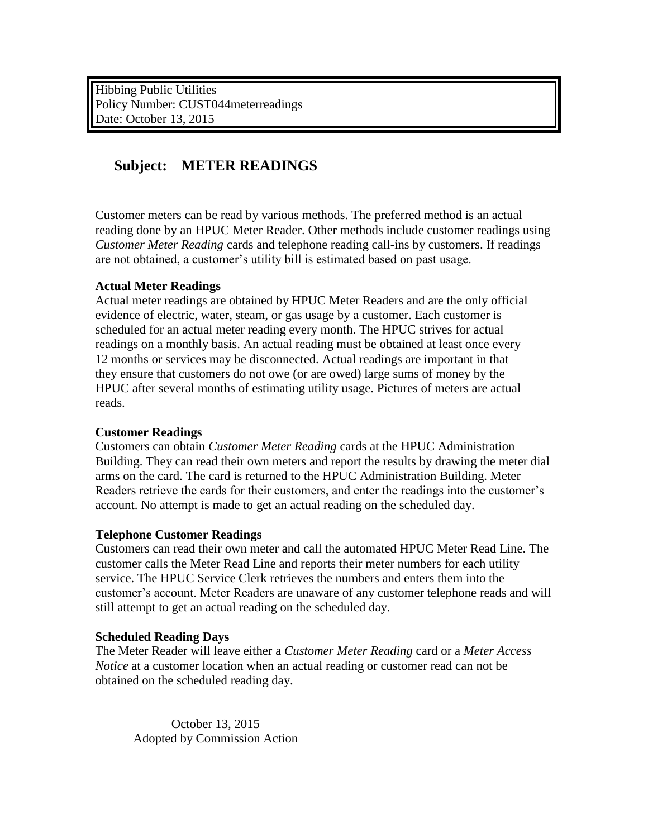Hibbing Public Utilities Policy Number: CUST044meterreadings Date: October 13, 2015

# **Subject: METER READINGS**

Customer meters can be read by various methods. The preferred method is an actual reading done by an HPUC Meter Reader. Other methods include customer readings using *Customer Meter Reading* cards and telephone reading call-ins by customers. If readings are not obtained, a customer's utility bill is estimated based on past usage.

#### **Actual Meter Readings**

Actual meter readings are obtained by HPUC Meter Readers and are the only official evidence of electric, water, steam, or gas usage by a customer. Each customer is scheduled for an actual meter reading every month. The HPUC strives for actual readings on a monthly basis. An actual reading must be obtained at least once every 12 months or services may be disconnected. Actual readings are important in that they ensure that customers do not owe (or are owed) large sums of money by the HPUC after several months of estimating utility usage. Pictures of meters are actual reads.

#### **Customer Readings**

Customers can obtain *Customer Meter Reading* cards at the HPUC Administration Building. They can read their own meters and report the results by drawing the meter dial arms on the card. The card is returned to the HPUC Administration Building. Meter Readers retrieve the cards for their customers, and enter the readings into the customer's account. No attempt is made to get an actual reading on the scheduled day.

#### **Telephone Customer Readings**

Customers can read their own meter and call the automated HPUC Meter Read Line. The customer calls the Meter Read Line and reports their meter numbers for each utility service. The HPUC Service Clerk retrieves the numbers and enters them into the customer's account. Meter Readers are unaware of any customer telephone reads and will still attempt to get an actual reading on the scheduled day.

## **Scheduled Reading Days**

The Meter Reader will leave either a *Customer Meter Reading* card or a *Meter Access Notice* at a customer location when an actual reading or customer read can not be obtained on the scheduled reading day.

 October 13, 2015 Adopted by Commission Action